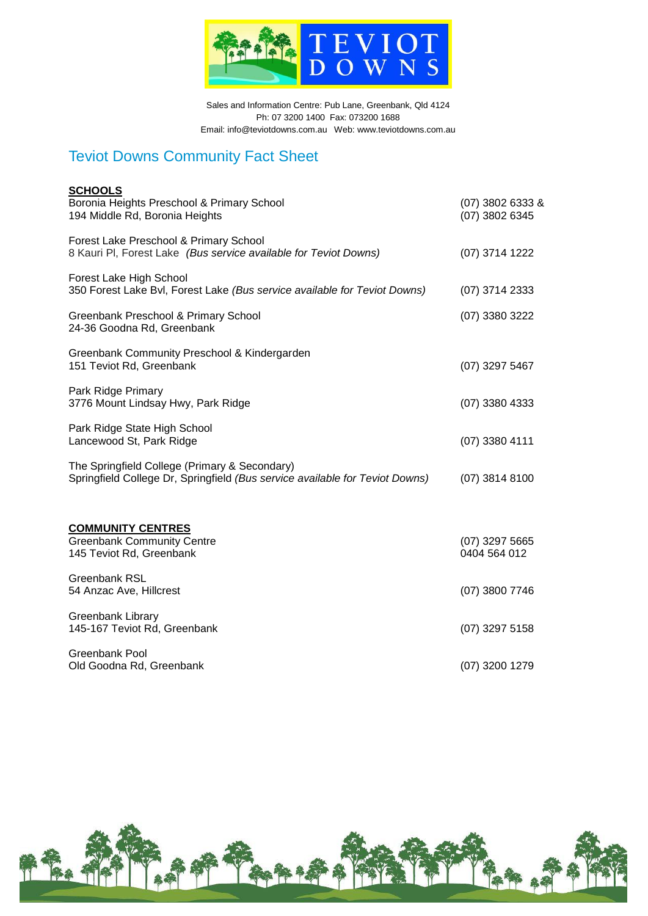

Sales and Information Centre: Pub Lane, Greenbank, Qld 4124 Ph: 07 3200 1400 Fax: 073200 1688 Email: info@teviotdowns.com.au Web: www.teviotdowns.com.au

# Teviot Downs Community Fact Sheet

| <b>SCHOOLS</b><br>Boronia Heights Preschool & Primary School<br>194 Middle Rd, Boronia Heights                                | (07) 3802 6333 &<br>(07) 3802 6345 |
|-------------------------------------------------------------------------------------------------------------------------------|------------------------------------|
| Forest Lake Preschool & Primary School<br>8 Kauri PI, Forest Lake (Bus service available for Teviot Downs)                    | (07) 3714 1222                     |
| Forest Lake High School<br>350 Forest Lake Bvl, Forest Lake (Bus service available for Teviot Downs)                          | (07) 3714 2333                     |
| Greenbank Preschool & Primary School<br>24-36 Goodna Rd, Greenbank                                                            | (07) 3380 3222                     |
| Greenbank Community Preschool & Kindergarden<br>151 Teviot Rd, Greenbank                                                      | $(07)$ 3297 5467                   |
| Park Ridge Primary<br>3776 Mount Lindsay Hwy, Park Ridge                                                                      | $(07)$ 3380 4333                   |
| Park Ridge State High School<br>Lancewood St, Park Ridge                                                                      | $(07)$ 3380 4111                   |
| The Springfield College (Primary & Secondary)<br>Springfield College Dr, Springfield (Bus service available for Teviot Downs) | $(07)$ 3814 8100                   |
| <b>COMMUNITY CENTRES</b><br><b>Greenbank Community Centre</b><br>145 Teviot Rd, Greenbank                                     | $(07)$ 3297 5665<br>0404 564 012   |
| <b>Greenbank RSL</b><br>54 Anzac Ave, Hillcrest                                                                               | (07) 3800 7746                     |
| Greenbank Library<br>145-167 Teviot Rd, Greenbank                                                                             | $(07)$ 3297 5158                   |
| <b>Greenbank Pool</b><br>Old Goodna Rd, Greenbank                                                                             | $(07)$ 3200 1279                   |
|                                                                                                                               |                                    |

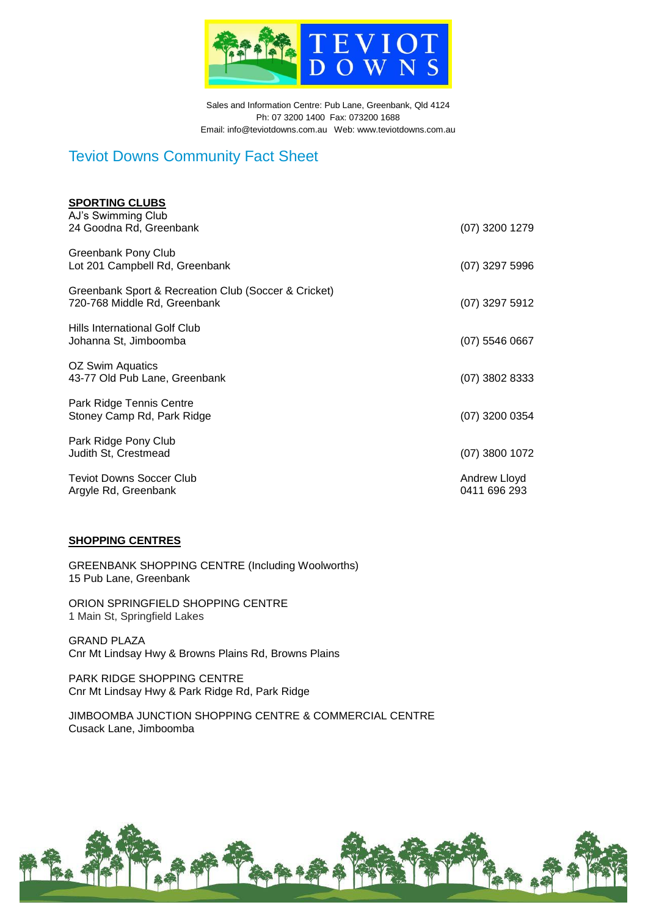

Sales and Information Centre: Pub Lane, Greenbank, Qld 4124 Ph: 07 3200 1400 Fax: 073200 1688 Email: info@teviotdowns.com.au Web: www.teviotdowns.com.au

### Teviot Downs Community Fact Sheet

| <b>SPORTING CLUBS</b><br>AJ's Swimming Club                                          |                              |
|--------------------------------------------------------------------------------------|------------------------------|
| 24 Goodna Rd, Greenbank                                                              | (07) 3200 1279               |
| Greenbank Pony Club<br>Lot 201 Campbell Rd, Greenbank                                | $(07)$ 3297 5996             |
| Greenbank Sport & Recreation Club (Soccer & Cricket)<br>720-768 Middle Rd, Greenbank | (07) 3297 5912               |
| <b>Hills International Golf Club</b><br>Johanna St, Jimboomba                        | $(07)$ 5546 0667             |
| OZ Swim Aquatics<br>43-77 Old Pub Lane, Greenbank                                    | (07) 3802 8333               |
| Park Ridge Tennis Centre<br>Stoney Camp Rd, Park Ridge                               | $(07)$ 3200 0354             |
| Park Ridge Pony Club<br>Judith St, Crestmead                                         | (07) 3800 1072               |
| <b>Teviot Downs Soccer Club</b><br>Argyle Rd, Greenbank                              | Andrew Lloyd<br>0411 696 293 |

#### **SHOPPING CENTRES**

GREENBANK SHOPPING CENTRE (Including Woolworths) 15 Pub Lane, Greenbank

ORION SPRINGFIELD SHOPPING CENTRE 1 Main St, Springfield Lakes

GRAND PLAZA Cnr Mt Lindsay Hwy & Browns Plains Rd, Browns Plains

PARK RIDGE SHOPPING CENTRE Cnr Mt Lindsay Hwy & Park Ridge Rd, Park Ridge

JIMBOOMBA JUNCTION SHOPPING CENTRE & COMMERCIAL CENTRE Cusack Lane, Jimboomba